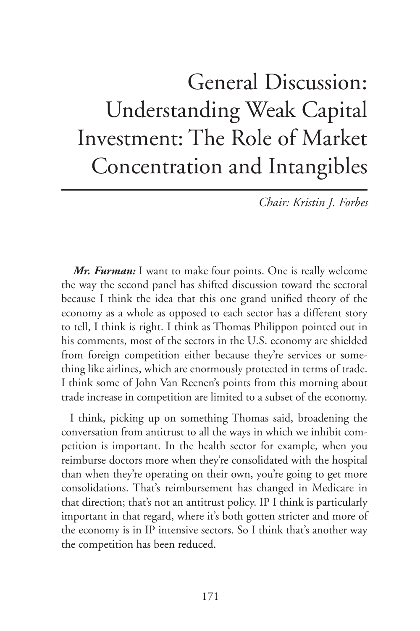## General Discussion: Understanding Weak Capital Investment: The Role of Market Concentration and Intangibles

*Chair: Kristin J. Forbes*

*Mr. Furman:* I want to make four points. One is really welcome the way the second panel has shifted discussion toward the sectoral because I think the idea that this one grand unified theory of the economy as a whole as opposed to each sector has a different story to tell, I think is right. I think as Thomas Philippon pointed out in his comments, most of the sectors in the U.S. economy are shielded from foreign competition either because they're services or something like airlines, which are enormously protected in terms of trade. I think some of John Van Reenen's points from this morning about trade increase in competition are limited to a subset of the economy.

I think, picking up on something Thomas said, broadening the conversation from antitrust to all the ways in which we inhibit competition is important. In the health sector for example, when you reimburse doctors more when they're consolidated with the hospital than when they're operating on their own, you're going to get more consolidations. That's reimbursement has changed in Medicare in that direction; that's not an antitrust policy. IP I think is particularly important in that regard, where it's both gotten stricter and more of the economy is in IP intensive sectors. So I think that's another way the competition has been reduced.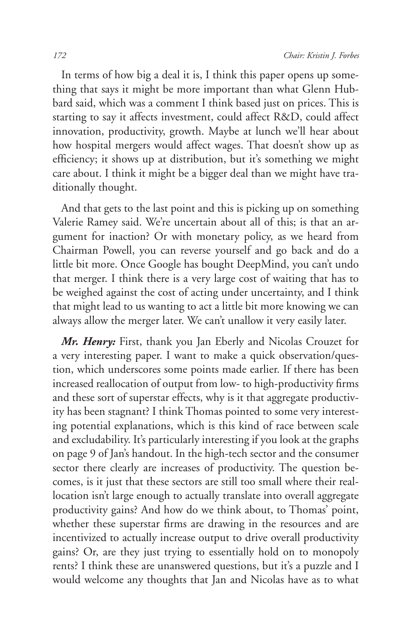In terms of how big a deal it is, I think this paper opens up something that says it might be more important than what Glenn Hubbard said, which was a comment I think based just on prices. This is starting to say it affects investment, could affect R&D, could affect innovation, productivity, growth. Maybe at lunch we'll hear about how hospital mergers would affect wages. That doesn't show up as efficiency; it shows up at distribution, but it's something we might care about. I think it might be a bigger deal than we might have traditionally thought.

And that gets to the last point and this is picking up on something Valerie Ramey said. We're uncertain about all of this; is that an argument for inaction? Or with monetary policy, as we heard from Chairman Powell, you can reverse yourself and go back and do a little bit more. Once Google has bought DeepMind, you can't undo that merger. I think there is a very large cost of waiting that has to be weighed against the cost of acting under uncertainty, and I think that might lead to us wanting to act a little bit more knowing we can always allow the merger later. We can't unallow it very easily later.

*Mr. Henry:* First, thank you Jan Eberly and Nicolas Crouzet for a very interesting paper. I want to make a quick observation/question, which underscores some points made earlier. If there has been increased reallocation of output from low- to high-productivity firms and these sort of superstar effects, why is it that aggregate productivity has been stagnant? I think Thomas pointed to some very interesting potential explanations, which is this kind of race between scale and excludability. It's particularly interesting if you look at the graphs on page 9 of Jan's handout. In the high-tech sector and the consumer sector there clearly are increases of productivity. The question becomes, is it just that these sectors are still too small where their reallocation isn't large enough to actually translate into overall aggregate productivity gains? And how do we think about, to Thomas' point, whether these superstar firms are drawing in the resources and are incentivized to actually increase output to drive overall productivity gains? Or, are they just trying to essentially hold on to monopoly rents? I think these are unanswered questions, but it's a puzzle and I would welcome any thoughts that Jan and Nicolas have as to what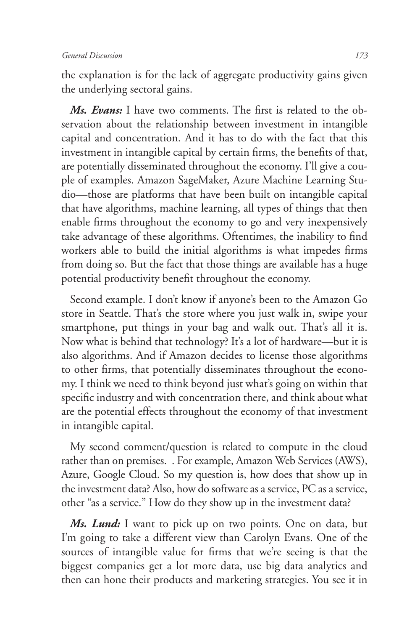the explanation is for the lack of aggregate productivity gains given the underlying sectoral gains.

*Ms. Evans:* I have two comments. The first is related to the observation about the relationship between investment in intangible capital and concentration. And it has to do with the fact that this investment in intangible capital by certain firms, the benefits of that, are potentially disseminated throughout the economy. I'll give a couple of examples. Amazon SageMaker, Azure Machine Learning Studio—those are platforms that have been built on intangible capital that have algorithms, machine learning, all types of things that then enable firms throughout the economy to go and very inexpensively take advantage of these algorithms. Oftentimes, the inability to find workers able to build the initial algorithms is what impedes firms from doing so. But the fact that those things are available has a huge potential productivity benefit throughout the economy.

Second example. I don't know if anyone's been to the Amazon Go store in Seattle. That's the store where you just walk in, swipe your smartphone, put things in your bag and walk out. That's all it is. Now what is behind that technology? It's a lot of hardware—but it is also algorithms. And if Amazon decides to license those algorithms to other firms, that potentially disseminates throughout the economy. I think we need to think beyond just what's going on within that specific industry and with concentration there, and think about what are the potential effects throughout the economy of that investment in intangible capital.

My second comment/question is related to compute in the cloud rather than on premises. . For example, Amazon Web Services (AWS), Azure, Google Cloud. So my question is, how does that show up in the investment data? Also, how do software as a service, PC as a service, other "as a service." How do they show up in the investment data?

*Ms. Lund:* I want to pick up on two points. One on data, but I'm going to take a different view than Carolyn Evans. One of the sources of intangible value for firms that we're seeing is that the biggest companies get a lot more data, use big data analytics and then can hone their products and marketing strategies. You see it in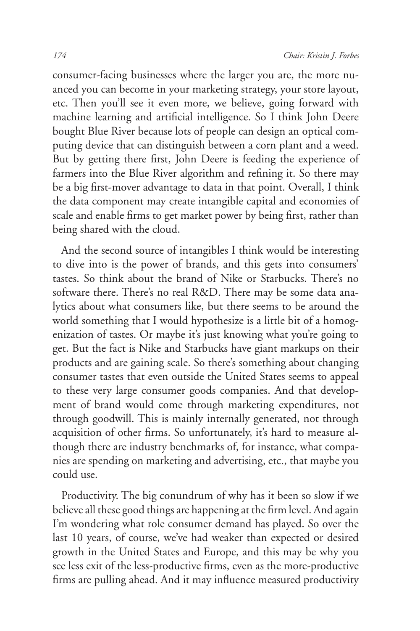consumer-facing businesses where the larger you are, the more nuanced you can become in your marketing strategy, your store layout, etc. Then you'll see it even more, we believe, going forward with machine learning and artificial intelligence. So I think John Deere bought Blue River because lots of people can design an optical computing device that can distinguish between a corn plant and a weed. But by getting there first, John Deere is feeding the experience of farmers into the Blue River algorithm and refining it. So there may be a big first-mover advantage to data in that point. Overall, I think the data component may create intangible capital and economies of scale and enable firms to get market power by being first, rather than being shared with the cloud.

And the second source of intangibles I think would be interesting to dive into is the power of brands, and this gets into consumers' tastes. So think about the brand of Nike or Starbucks. There's no software there. There's no real R&D. There may be some data analytics about what consumers like, but there seems to be around the world something that I would hypothesize is a little bit of a homogenization of tastes. Or maybe it's just knowing what you're going to get. But the fact is Nike and Starbucks have giant markups on their products and are gaining scale. So there's something about changing consumer tastes that even outside the United States seems to appeal to these very large consumer goods companies. And that development of brand would come through marketing expenditures, not through goodwill. This is mainly internally generated, not through acquisition of other firms. So unfortunately, it's hard to measure although there are industry benchmarks of, for instance, what companies are spending on marketing and advertising, etc., that maybe you could use.

Productivity. The big conundrum of why has it been so slow if we believe all these good things are happening at the firm level. And again I'm wondering what role consumer demand has played. So over the last 10 years, of course, we've had weaker than expected or desired growth in the United States and Europe, and this may be why you see less exit of the less-productive firms, even as the more-productive firms are pulling ahead. And it may influence measured productivity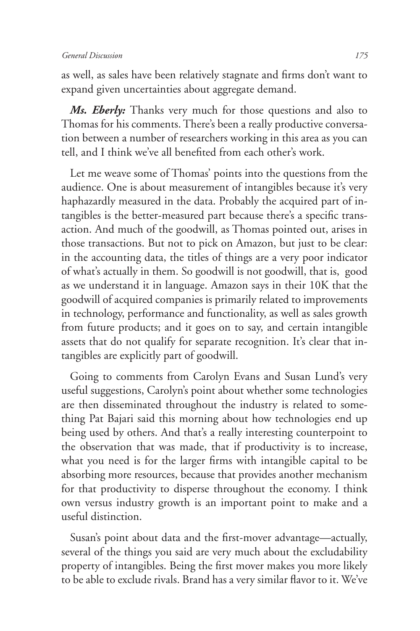as well, as sales have been relatively stagnate and firms don't want to expand given uncertainties about aggregate demand.

*Ms. Eberly:* Thanks very much for those questions and also to Thomas for his comments. There's been a really productive conversation between a number of researchers working in this area as you can tell, and I think we've all benefited from each other's work.

Let me weave some of Thomas' points into the questions from the audience. One is about measurement of intangibles because it's very haphazardly measured in the data. Probably the acquired part of intangibles is the better-measured part because there's a specific transaction. And much of the goodwill, as Thomas pointed out, arises in those transactions. But not to pick on Amazon, but just to be clear: in the accounting data, the titles of things are a very poor indicator of what's actually in them. So goodwill is not goodwill, that is, good as we understand it in language. Amazon says in their 10K that the goodwill of acquired companies is primarily related to improvements in technology, performance and functionality, as well as sales growth from future products; and it goes on to say, and certain intangible assets that do not qualify for separate recognition. It's clear that intangibles are explicitly part of goodwill.

Going to comments from Carolyn Evans and Susan Lund's very useful suggestions, Carolyn's point about whether some technologies are then disseminated throughout the industry is related to something Pat Bajari said this morning about how technologies end up being used by others. And that's a really interesting counterpoint to the observation that was made, that if productivity is to increase, what you need is for the larger firms with intangible capital to be absorbing more resources, because that provides another mechanism for that productivity to disperse throughout the economy. I think own versus industry growth is an important point to make and a useful distinction.

Susan's point about data and the first-mover advantage—actually, several of the things you said are very much about the excludability property of intangibles. Being the first mover makes you more likely to be able to exclude rivals. Brand has a very similar flavor to it. We've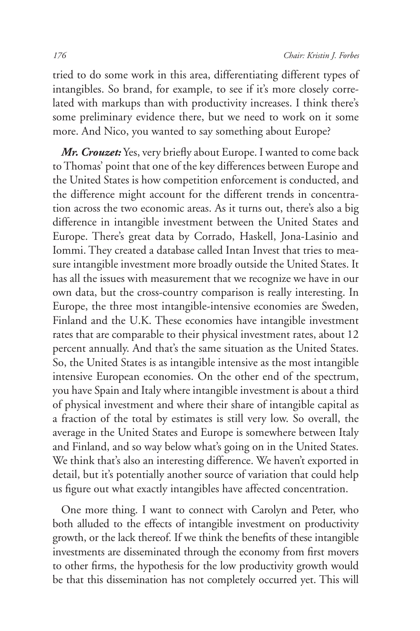tried to do some work in this area, differentiating different types of intangibles. So brand, for example, to see if it's more closely correlated with markups than with productivity increases. I think there's some preliminary evidence there, but we need to work on it some more. And Nico, you wanted to say something about Europe?

*Mr. Crouzet:* Yes, very briefly about Europe. I wanted to come back to Thomas' point that one of the key differences between Europe and the United States is how competition enforcement is conducted, and the difference might account for the different trends in concentration across the two economic areas. As it turns out, there's also a big difference in intangible investment between the United States and Europe. There's great data by Corrado, Haskell, Jona-Lasinio and Iommi. They created a database called Intan Invest that tries to measure intangible investment more broadly outside the United States. It has all the issues with measurement that we recognize we have in our own data, but the cross-country comparison is really interesting. In Europe, the three most intangible-intensive economies are Sweden, Finland and the U.K. These economies have intangible investment rates that are comparable to their physical investment rates, about 12 percent annually. And that's the same situation as the United States. So, the United States is as intangible intensive as the most intangible intensive European economies. On the other end of the spectrum, you have Spain and Italy where intangible investment is about a third of physical investment and where their share of intangible capital as a fraction of the total by estimates is still very low. So overall, the average in the United States and Europe is somewhere between Italy and Finland, and so way below what's going on in the United States. We think that's also an interesting difference. We haven't exported in detail, but it's potentially another source of variation that could help us figure out what exactly intangibles have affected concentration.

One more thing. I want to connect with Carolyn and Peter, who both alluded to the effects of intangible investment on productivity growth, or the lack thereof. If we think the benefits of these intangible investments are disseminated through the economy from first movers to other firms, the hypothesis for the low productivity growth would be that this dissemination has not completely occurred yet. This will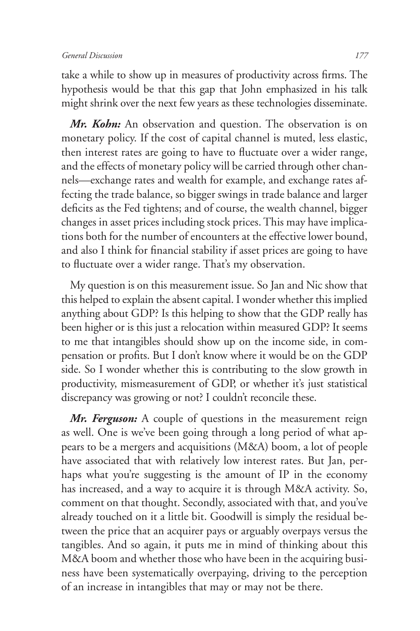take a while to show up in measures of productivity across firms. The hypothesis would be that this gap that John emphasized in his talk might shrink over the next few years as these technologies disseminate.

*Mr. Kohn:* An observation and question. The observation is on monetary policy. If the cost of capital channel is muted, less elastic, then interest rates are going to have to fluctuate over a wider range, and the effects of monetary policy will be carried through other channels—exchange rates and wealth for example, and exchange rates affecting the trade balance, so bigger swings in trade balance and larger deficits as the Fed tightens; and of course, the wealth channel, bigger changes in asset prices including stock prices. This may have implications both for the number of encounters at the effective lower bound, and also I think for financial stability if asset prices are going to have to fluctuate over a wider range. That's my observation.

My question is on this measurement issue. So Jan and Nic show that this helped to explain the absent capital. I wonder whether this implied anything about GDP? Is this helping to show that the GDP really has been higher or is this just a relocation within measured GDP? It seems to me that intangibles should show up on the income side, in compensation or profits. But I don't know where it would be on the GDP side. So I wonder whether this is contributing to the slow growth in productivity, mismeasurement of GDP, or whether it's just statistical discrepancy was growing or not? I couldn't reconcile these.

*Mr. Ferguson:* A couple of questions in the measurement reign as well. One is we've been going through a long period of what appears to be a mergers and acquisitions (M&A) boom, a lot of people have associated that with relatively low interest rates. But Jan, perhaps what you're suggesting is the amount of IP in the economy has increased, and a way to acquire it is through M&A activity. So, comment on that thought. Secondly, associated with that, and you've already touched on it a little bit. Goodwill is simply the residual between the price that an acquirer pays or arguably overpays versus the tangibles. And so again, it puts me in mind of thinking about this M&A boom and whether those who have been in the acquiring business have been systematically overpaying, driving to the perception of an increase in intangibles that may or may not be there.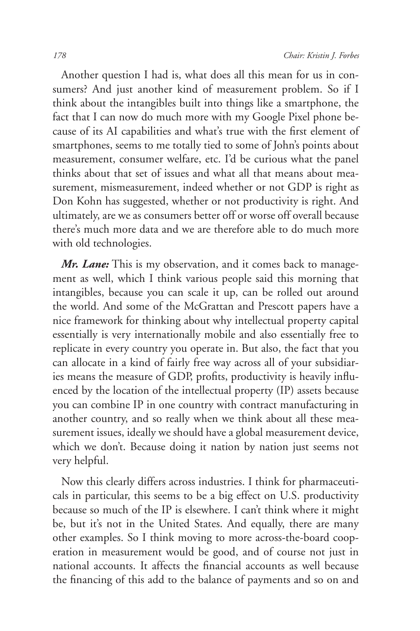Another question I had is, what does all this mean for us in consumers? And just another kind of measurement problem. So if I think about the intangibles built into things like a smartphone, the fact that I can now do much more with my Google Pixel phone because of its AI capabilities and what's true with the first element of smartphones, seems to me totally tied to some of John's points about measurement, consumer welfare, etc. I'd be curious what the panel thinks about that set of issues and what all that means about measurement, mismeasurement, indeed whether or not GDP is right as Don Kohn has suggested, whether or not productivity is right. And ultimately, are we as consumers better off or worse off overall because there's much more data and we are therefore able to do much more with old technologies.

*Mr. Lane:* This is my observation, and it comes back to management as well, which I think various people said this morning that intangibles, because you can scale it up, can be rolled out around the world. And some of the McGrattan and Prescott papers have a nice framework for thinking about why intellectual property capital essentially is very internationally mobile and also essentially free to replicate in every country you operate in. But also, the fact that you can allocate in a kind of fairly free way across all of your subsidiaries means the measure of GDP, profits, productivity is heavily influenced by the location of the intellectual property (IP) assets because you can combine IP in one country with contract manufacturing in another country, and so really when we think about all these measurement issues, ideally we should have a global measurement device, which we don't. Because doing it nation by nation just seems not very helpful.

Now this clearly differs across industries. I think for pharmaceuticals in particular, this seems to be a big effect on U.S. productivity because so much of the IP is elsewhere. I can't think where it might be, but it's not in the United States. And equally, there are many other examples. So I think moving to more across-the-board cooperation in measurement would be good, and of course not just in national accounts. It affects the financial accounts as well because the financing of this add to the balance of payments and so on and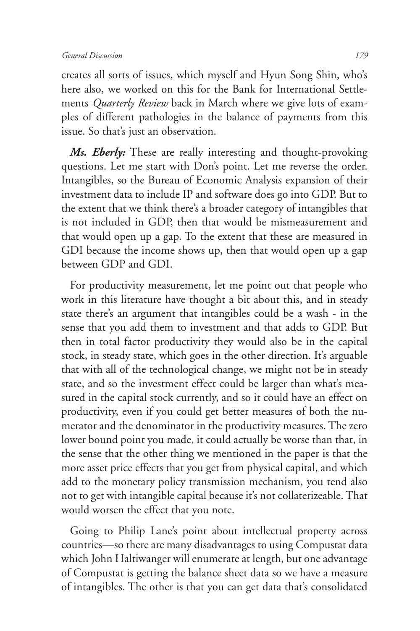creates all sorts of issues, which myself and Hyun Song Shin, who's here also, we worked on this for the Bank for International Settlements *Quarterly Review* back in March where we give lots of examples of different pathologies in the balance of payments from this issue. So that's just an observation.

*Ms. Eberly:* These are really interesting and thought-provoking questions. Let me start with Don's point. Let me reverse the order. Intangibles, so the Bureau of Economic Analysis expansion of their investment data to include IP and software does go into GDP. But to the extent that we think there's a broader category of intangibles that is not included in GDP, then that would be mismeasurement and that would open up a gap. To the extent that these are measured in GDI because the income shows up, then that would open up a gap between GDP and GDI.

For productivity measurement, let me point out that people who work in this literature have thought a bit about this, and in steady state there's an argument that intangibles could be a wash - in the sense that you add them to investment and that adds to GDP. But then in total factor productivity they would also be in the capital stock, in steady state, which goes in the other direction. It's arguable that with all of the technological change, we might not be in steady state, and so the investment effect could be larger than what's measured in the capital stock currently, and so it could have an effect on productivity, even if you could get better measures of both the numerator and the denominator in the productivity measures. The zero lower bound point you made, it could actually be worse than that, in the sense that the other thing we mentioned in the paper is that the more asset price effects that you get from physical capital, and which add to the monetary policy transmission mechanism, you tend also not to get with intangible capital because it's not collaterizeable. That would worsen the effect that you note.

Going to Philip Lane's point about intellectual property across countries—so there are many disadvantages to using Compustat data which John Haltiwanger will enumerate at length, but one advantage of Compustat is getting the balance sheet data so we have a measure of intangibles. The other is that you can get data that's consolidated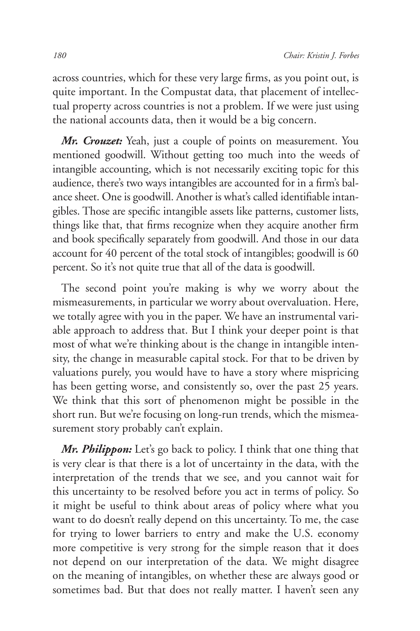across countries, which for these very large firms, as you point out, is quite important. In the Compustat data, that placement of intellectual property across countries is not a problem. If we were just using the national accounts data, then it would be a big concern.

*Mr. Crouzet:* Yeah, just a couple of points on measurement. You mentioned goodwill. Without getting too much into the weeds of intangible accounting, which is not necessarily exciting topic for this audience, there's two ways intangibles are accounted for in a firm's balance sheet. One is goodwill. Another is what's called identifiable intangibles. Those are specific intangible assets like patterns, customer lists, things like that, that firms recognize when they acquire another firm and book specifically separately from goodwill. And those in our data account for 40 percent of the total stock of intangibles; goodwill is 60 percent. So it's not quite true that all of the data is goodwill.

The second point you're making is why we worry about the mismeasurements, in particular we worry about overvaluation. Here, we totally agree with you in the paper. We have an instrumental variable approach to address that. But I think your deeper point is that most of what we're thinking about is the change in intangible intensity, the change in measurable capital stock. For that to be driven by valuations purely, you would have to have a story where mispricing has been getting worse, and consistently so, over the past 25 years. We think that this sort of phenomenon might be possible in the short run. But we're focusing on long-run trends, which the mismeasurement story probably can't explain.

*Mr. Philippon:* Let's go back to policy. I think that one thing that is very clear is that there is a lot of uncertainty in the data, with the interpretation of the trends that we see, and you cannot wait for this uncertainty to be resolved before you act in terms of policy. So it might be useful to think about areas of policy where what you want to do doesn't really depend on this uncertainty. To me, the case for trying to lower barriers to entry and make the U.S. economy more competitive is very strong for the simple reason that it does not depend on our interpretation of the data. We might disagree on the meaning of intangibles, on whether these are always good or sometimes bad. But that does not really matter. I haven't seen any